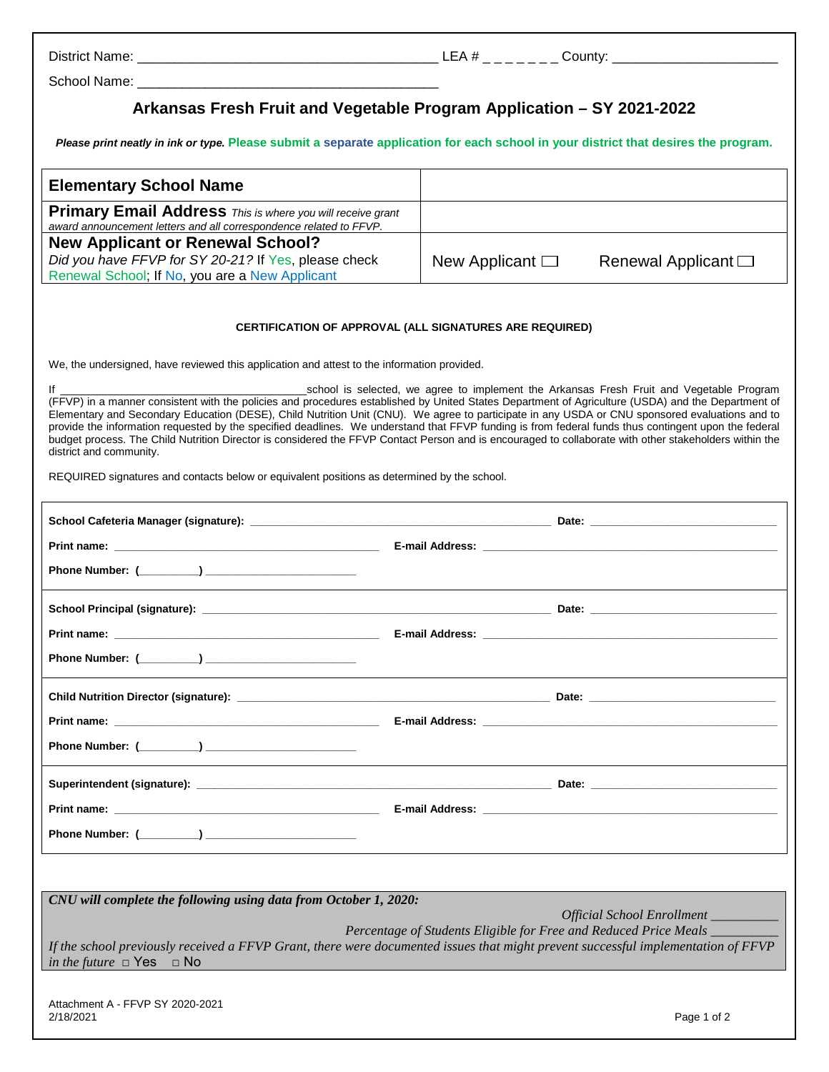School Name:

## **Arkansas Fresh Fruit and Vegetable Program Application – SY 2021-2022**

*Please print neatly in ink or type.* **Please submit a separate application for each school in your district that desires the program.**

| <b>Elementary School Name</b>                                                                                                           |                      |                             |
|-----------------------------------------------------------------------------------------------------------------------------------------|----------------------|-----------------------------|
| <b>Primary Email Address</b> This is where you will receive grant<br>award announcement letters and all correspondence related to FFVP. |                      |                             |
| <b>New Applicant or Renewal School?</b><br>Did you have FFVP for SY 20-21? If Yes, please check                                         | New Applicant $\Box$ | Renewal Applicant $\square$ |
| Renewal School; If No, you are a New Applicant                                                                                          |                      |                             |

## **CERTIFICATION OF APPROVAL (ALL SIGNATURES ARE REQUIRED)**

We, the undersigned, have reviewed this application and attest to the information provided.

If **In the subset of the Set of the Set of the Set of the Set of the Arkansas Fresh Fruit and Vegetable Program** (FFVP) in a manner consistent with the policies and procedures established by United States Department of Agriculture (USDA) and the Department of Elementary and Secondary Education (DESE), Child Nutrition Unit (CNU). We agree to participate in any USDA or CNU sponsored evaluations and to provide the information requested by the specified deadlines. We understand that FFVP funding is from federal funds thus contingent upon the federal budget process. The Child Nutrition Director is considered the FFVP Contact Person and is encouraged to collaborate with other stakeholders within the district and community.

REQUIRED signatures and contacts below or equivalent positions as determined by the school.

| CNU will complete the following using data from October 1, 2020:                                                                                                        |  |  |  |
|-------------------------------------------------------------------------------------------------------------------------------------------------------------------------|--|--|--|
| Official School Enrollment _________<br>Percentage of Students Eligible for Free and Reduced Price Meals ______                                                         |  |  |  |
| If the school previously received a FFVP Grant, there were documented issues that might prevent successful implementation of FFVP<br>in the future $\Box$ Yes $\Box$ No |  |  |  |
|                                                                                                                                                                         |  |  |  |

Attachment A - FFVP SY 2020-2021 2/18/2021 Page 1 of 2